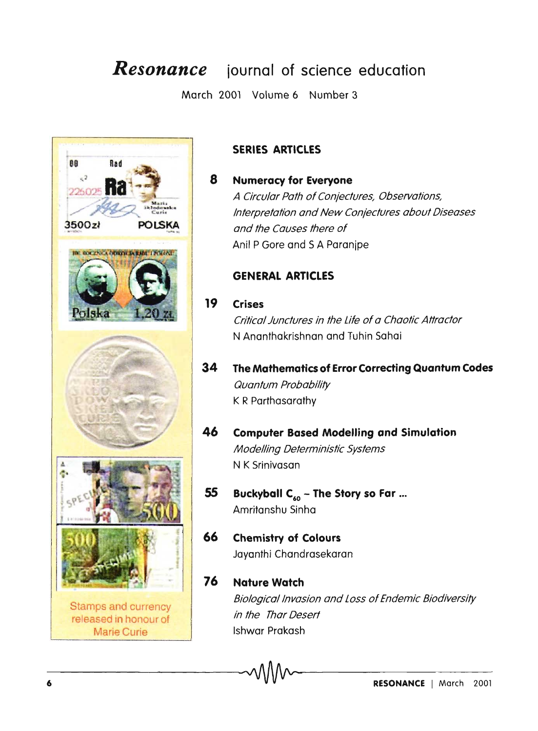## *Resonance* **journal of science education**

March 2001 Volume 6 Number 3



#### **SERIES ARTICLES**

#### **Numeracy for Everyone**  A Circular Path of Conjectures, Observations, Interpretation and New Conjectures about Diseases and the Causes there of Ani! P Gore and S A Paranjpe

#### **GENERAL ARTICLES**

#### **19 Crises**

8

Critical Junctures in the life of a Chaotic Attractor N Ananthakrishnan and Tuhin Sahai

**34 The Mathematics of Error Correcting Quantum Codes**  Quantum Probability K R Parthasarathy

#### **46 Computer Based Modelling and Simulation**  Modelling Deterministic Systems N K Srinivasan

- **55 Buckyball C60 - The Story so Far** ... Amritanshu Sinha
- **66 Chemistry of Colours**  Jayanthi Chandrasekaran

-6--------------------------~~-----------------------------

#### **76 Nature Watch**  Biological Invasion and Loss of Endemic Biodiversity in the Thor Desert Ishwar Prakash